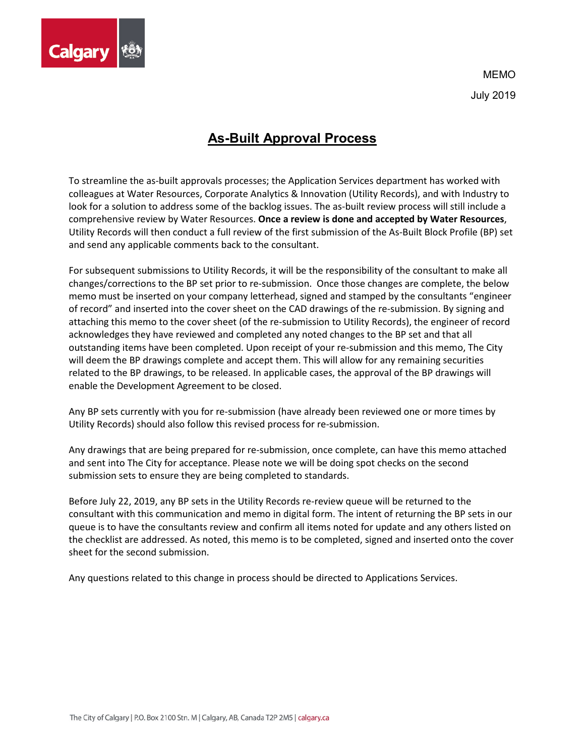

MEMO July 2019

## **As-Built Approval Process**

To streamline the as-built approvals processes; the Application Services department has worked with colleagues at Water Resources, Corporate Analytics & Innovation (Utility Records), and with Industry to look for a solution to address some of the backlog issues. The as-built review process will still include a comprehensive review by Water Resources. **Once a review is done and accepted by Water Resources**, Utility Records will then conduct a full review of the first submission of the As-Built Block Profile (BP) set and send any applicable comments back to the consultant.

For subsequent submissions to Utility Records, it will be the responsibility of the consultant to make all changes/corrections to the BP set prior to re-submission. Once those changes are complete, the below memo must be inserted on your company letterhead, signed and stamped by the consultants "engineer of record" and inserted into the cover sheet on the CAD drawings of the re-submission. By signing and attaching this memo to the cover sheet (of the re-submission to Utility Records), the engineer of record acknowledges they have reviewed and completed any noted changes to the BP set and that all outstanding items have been completed. Upon receipt of your re-submission and this memo, The City will deem the BP drawings complete and accept them. This will allow for any remaining securities related to the BP drawings, to be released. In applicable cases, the approval of the BP drawings will enable the Development Agreement to be closed.

Any BP sets currently with you for re-submission (have already been reviewed one or more times by Utility Records) should also follow this revised process for re-submission.

Any drawings that are being prepared for re-submission, once complete, can have this memo attached and sent into The City for acceptance. Please note we will be doing spot checks on the second submission sets to ensure they are being completed to standards.

Before July 22, 2019, any BP sets in the Utility Records re-review queue will be returned to the consultant with this communication and memo in digital form. The intent of returning the BP sets in our queue is to have the consultants review and confirm all items noted for update and any others listed on the checklist are addressed. As noted, this memo is to be completed, signed and inserted onto the cover sheet for the second submission.

Any questions related to this change in process should be directed to Applications Services.